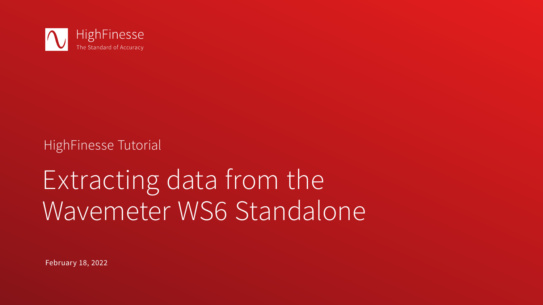February 18, 2022



# HighFinesse Tutorial

# Extracting data from the Wavemeter WS6 Standalone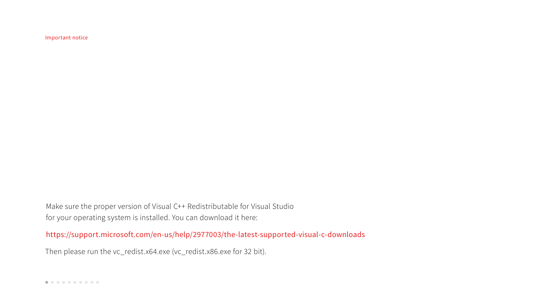Make sure the proper version of Visual C++ Redistributable for Visual Studio for your operating system is installed. You can download it here: https://support.microsoft.com/en-us/help/2977003/the-latest-supported-visual-c-downloads

Then please run the vc\_redist.x64.exe (vc\_redist.x86.exe for 32 bit).

Important notice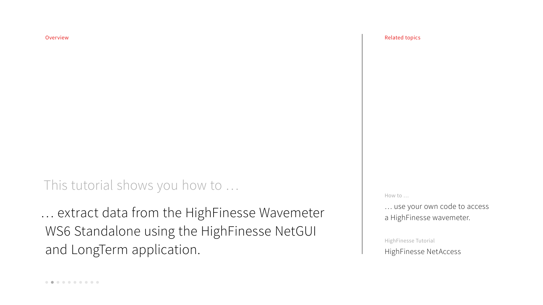This tutorial shows you how to …

… extract data from the HighFinesse Wavemeter WS6 Standalone using the HighFinesse NetGUI and LongTerm application.

### Overview Related topics

How to …

… use your own code to access a HighFinesse wavemeter.

HighFinesse Tutorial HighFinesse NetAccess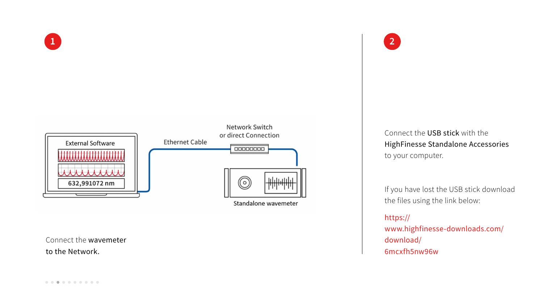

Connect the wavemeter to the Network.

Standalone wavemeter

Connect the USB stick with the HighFinesse Standalone Accessories to your computer.

If you have lost the USB stick download the files using the link below:

https:// www.highfinesse-downloads.com/ download/ 6mcxfh5nw96w

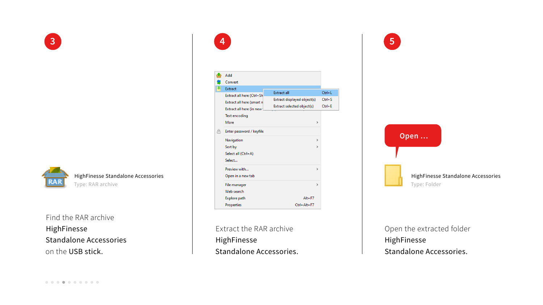Find the RAR archive HighFinesse Standalone Accessories on the USB stick.

Extract the RAR archive HighFinesse Standalone Accessories.



Open the extracted folder HighFinesse Standalone Accessories.







### HighFinesse Standalone Accessories

Type: RAR archive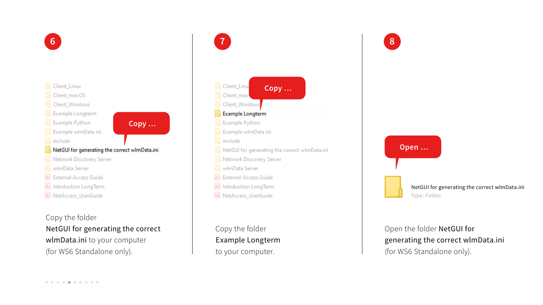Copy the folder NetGUI for generating the correct wlmData.ini to your computer (for WS6 Standalone only).



Copy the folder Example Longterm to your computer.

# Open the folder NetGUI for generating the correct wlmData.ini (for WS6 Standalone only).



NetGUI for generating the correct wlmData.ini Type: Folder







NetGUI for generating the correct wImData.ini

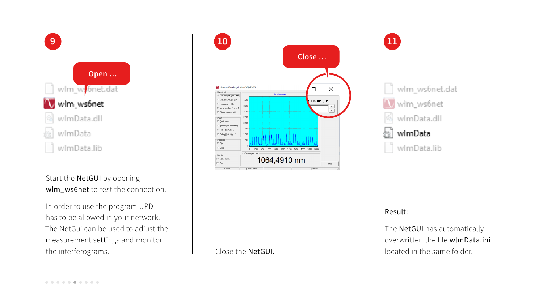Close the NetGUI.

## Result:

The **NetGUI** has automatically overwritten the file wlmData.ini located in the same folder.

Start the **NetGUI** by opening wlm\_ws6net to test the connection.







In order to use the program UPD has to be allowed in your network. The NetGui can be used to adjust the measurement settings and monitor the interferograms.

| N. Network Wavelength Meter WS/6-363<br>Result unit |               |
|-----------------------------------------------------|---------------|
| Vavelength, vac. [nm]                               |               |
| Wavelength, air [nm]                                | $4.000 \cdot$ |
| C Freguency [THz]                                   | $3.500 -$     |
| C Wavenumber [1 / cm]                               | $3.000 -$     |
| C Photon energy [eV]                                | $2.500 -$     |
| Pulse<br>C Continuous                               |               |
| C Pulsed (opt. triggered)                           | $2.000 \cdot$ |
| C Pulsed (ext. trigg. 1)                            | $1.500 -$     |
| C Pulsed (ext. trigg. 2)                            | $1.000 \cdot$ |
| Precision                                           | 500           |
| ⊙ Fine                                              |               |
| о<br>Wide                                           | 0             |
|                                                     | Wavelength,   |
| Display<br>Ⅳ Show signal                            |               |
| Fast                                                |               |
|                                                     | $p = 967$ mb  |
| $T = 22.9 °C$                                       |               |

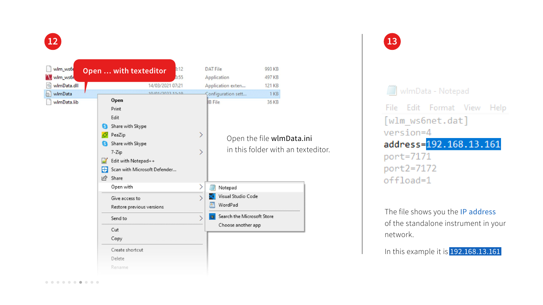The file shows you the IP address of the standalone instrument in your network.

In this example it is 192.168.13.161





WImData - Notepad

File Edit Format View Help [wlm\_ws6net.dat] version=4 address=192.168.13.161 port=7171 port2=7172 offload=1



| wim_ws6r<br>wim_ws6r |         | Open  with texteditor                                                                                                                            | 3:12<br>0:55 | <b>DAT File</b><br>Application                              | 993 KB<br>497 KB                                            |
|----------------------|---------|--------------------------------------------------------------------------------------------------------------------------------------------------|--------------|-------------------------------------------------------------|-------------------------------------------------------------|
| wlmData.dll          |         | 14/03/2021 07:21                                                                                                                                 |              | Application exten                                           | 121 KB                                                      |
| wimData<br>Ø.        |         | 10/01/2022 11:10                                                                                                                                 |              | Configuration sett                                          | 1 <sub>KB</sub>                                             |
| wlmData.lib          | H<br>1Q | Open<br>Print<br>Edit<br>Share with Skype<br>PeaZip<br>Share with Skype<br>7-Zip<br>Edit with Notepad++<br>Scan with Microsoft Defender<br>Share | ⋗<br>>       | <b>IB File</b>                                              | 36 KB<br>Open the file wlmData<br>in this folder with an te |
|                      |         | Open with                                                                                                                                        | ╲            | Notepad                                                     |                                                             |
|                      |         | Give access to<br>Restore previous versions<br>Send to                                                                                           |              | Visual Studio Code<br>WordPad<br>Search the Microsoft Store |                                                             |
|                      |         | Cut                                                                                                                                              |              | Choose another app                                          |                                                             |
|                      |         | Copy                                                                                                                                             |              |                                                             |                                                             |
|                      |         | Create shortcut                                                                                                                                  |              |                                                             |                                                             |
|                      |         | Delete                                                                                                                                           |              |                                                             |                                                             |
|                      |         | Rename                                                                                                                                           |              |                                                             |                                                             |

ini. exteditor.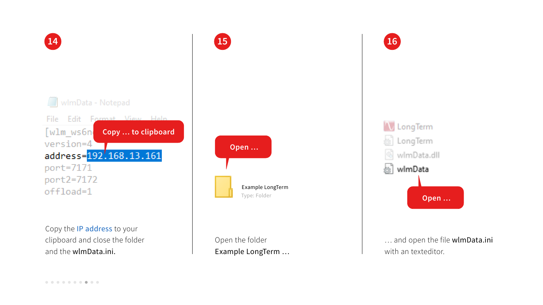Copy the IP address to your clipboard and close the folder and the wlmData.ini.



Open the folder Example LongTerm …

… and open the file wlmData.ini with an texteditor.

Example LongTerm







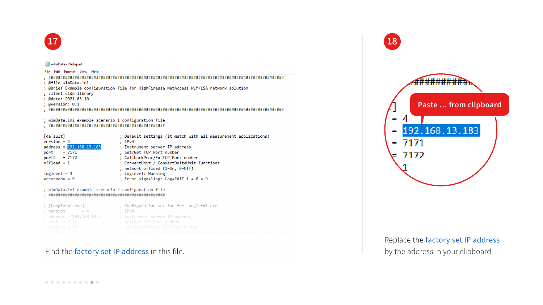

```
wimData - Notepad
```

```
File Edit Format View Help
; @file wlmData.ini
; @brief Example configuration file for HighFinesse NetAccess WLM/LSA network solution
; client side library
; @date: 2021.03.10
; @version: 0.1; wlmData.ini example scenario 1 configuration file
[default]
                       ; Default settings (it match with all measurement applications)
version = 4\div IPv4
address = 192.168.13.183; Instrument server IP address
                       ; Set/Get TCP Port number
port = 7171; CallbackProc/Ex TCP Port number
port2 = 7172offload = 1; ConvertUnit / ConvertDeltaUnit functions
                       ; network offload (1=0n, 0=0ff)
loglevel = 3; Loglevel: Warning
                       ; Error signaling: Log+EXIT 1 + 8 = 9errormode = 9; wlmData.ini example scenario 2 configuration file
; Configuration section for LongTerm1.exe
; [LongTerm1.exe]
; version
        = 4; IPv4
                       ; Instrument server IP address
; address = 192.168.10.2; Set/Get TCP Port number
; port = 7171; CallbackProc/Ex TCP Port numbe
; port2 = 7172
```
Find the factory set IP address in this file.  $\qquad$  by the address in your clipboard.

Replace the factory set IP address

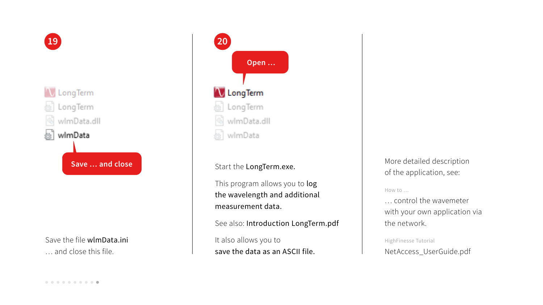# Save the file wlmData.ini

… and close this file.

- This program allows you to log the wavelength and additional
- See also: Introduction LongTerm.pdf
- save the data as an ASCII file.

More detailed description of the application, see:

How to …



… control the wavemeter with your own application via the network.

HighFinesse Tutorial NetAccess\_UserGuide.pdf

### **Open …**

- 
- 
-